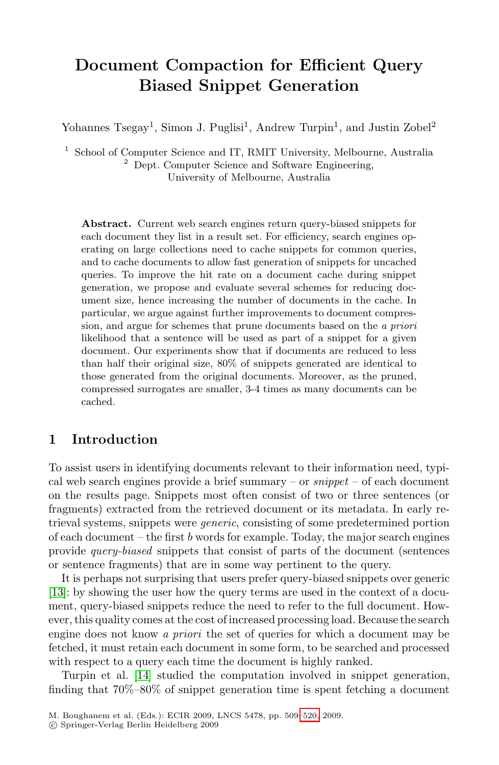# **Document Compaction for Efficient Query Biased Snippet Generation**

Yohannes  $Tsegay<sup>1</sup>$ , Simon J. Puglisi<sup>1</sup>, Andrew Turpin<sup>1</sup>, and Justin Zobel<sup>2</sup>

<sup>1</sup> School of Computer Science and IT, RMIT University, Melbourne, Australia <sup>2</sup> Dept. Computer Science and Software Engineering, University of Melbourne, Australia

**Abstract.** Current web search engines return query-biased snippets for each document they list in a result set. For efficiency, search engines operating on large collections need to cache snippets for common queries, and to cache documents to allow fast generation of snippets for uncached queries. To improve the hit rate on a document cache during snippet generation, we propose and evaluate several schemes for reducing document size, hence increasing the number of documents in the cache. In particular, we argue against further improvements to document compression, and argue for schemes that prune documents based on the *a priori* likelihood that a sentence will be used as part of a snippet for a given document. Our experiments show that if documents are reduced to less than half their original size, 80% of snippets generated are identical to those generated from the original documents. Moreover, as the pruned, compressed surrogates are smaller, 3-4 times as many documents can be cached.

### **1 Introduction**

To assist users in identifying documents relevant to their information need, typical web search engines provide a brief summary – or *snippet* – of each document on the results page. Snippets most often consist of two or three sentences (or fragments) extracted from the retrieved document or its metadata. In early retrieval systems, snippets were *generic*, consisting of some predetermined portion of each document – the first  $b$  words for example. Today, the major search engines provide *query-biased* snippets that consist of parts of the document (sentences or sentence fragments) that are in some way pertinent to the query.

It is perhaps not surprising that users prefer query-biased snippets over generic [\[13\]](#page-11-0): by showing the user how the query terms are used in the context of a document, query-biased snippets reduce the need to refer to the full document. However, this quality comes at the cost of increased processing load. Because the search engine does not know *a priori* the set of queries for which a document may be fetched, it must retain each document in some form, to be searched and processed with respect to a query each time the document is highly ranked.

Turpin et al. [\[14\]](#page-11-1) studied the computation involved in snippet generation, finding that 70%–80% of snippet generation time is spent fetching a document

<sup>-</sup>c Springer-Verlag Berlin Heidelberg 2009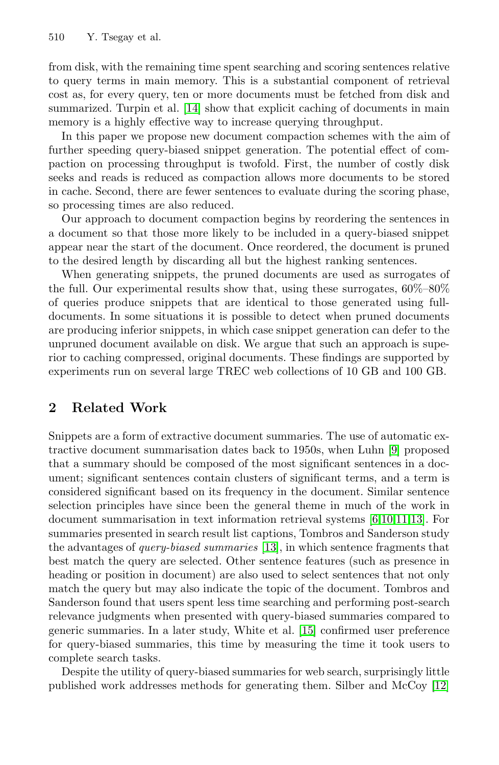from disk, with the remaining time spent searching and scoring sentences relative to query terms in main memory. This is a substantial component of retrieval cost as, for every query, ten or more documents must be fetched from disk and summarized. Turpin et al. [\[14\]](#page-11-1) show that explicit caching of documents in main memory is a highly effective way to increase querying throughput.

In this paper we propose new document compaction schemes with the aim of further speeding query-biased snippet generation. The potential effect of compaction on processing throughput is twofold. First, the number of costly disk seeks and reads is reduced as compaction allows more documents to be stored in cache. Second, there are fewer sentences to evaluate during the scoring phase, so processing times are also reduced.

Our approach to document compaction begins by reordering the sentences in a document so that those more likely to be included in a query-biased snippet appear near the start of the document. Once reordered, the document is pruned to the desired length by discarding all but the highest ranking sentences.

When generating snippets, the pruned documents are used as surrogates of the full. Our experimental results show that, using these surrogates, 60%–80% of queries produce snippets that are identical to those generated using fulldocuments. In some situations it is possible to detect when pruned documents are producing inferior snippets, in which case snippet generation can defer to the unpruned document available on disk. We argue that such an approach is superior to caching compressed, original documents. These findings are supported by experiments run on several large TREC web collections of 10 GB and 100 GB.

# **2 Related Work**

Snippets are a form of extractive document summaries. The use of automatic extractive document summarisation dates back to 1950s, when Luhn [\[9\]](#page-11-3) proposed that a summary should be composed of the most significant sentences in a document; significant sentences contain clusters of significant terms, and a term is considered significant based on its frequency in the document. Similar sentence selection principles have since been the general theme in much of the work in document summarisation in text information retrieval systems [\[6,](#page-11-4)[10](#page-11-5)[,11](#page-11-6)[,13\]](#page-11-0). For summaries presented in search result list captions, Tombros and Sanderson study the advantages of *query-biased summaries* [\[13\]](#page-11-0), in which sentence fragments that best match the query are selected. Other sentence features (such as presence in heading or position in document) are also used to select sentences that not only match the query but may also indicate the topic of the document. Tombros and Sanderson found that users spent less time searching and performing post-search relevance judgments when presented with query-biased summaries compared to generic summaries. In a later study, White et al. [\[15\]](#page-11-7) confirmed user preference for query-biased summaries, this time by measuring the time it took users to complete search tasks.

Despite the utility of query-biased summaries for web search, surprisingly little published work addresses methods for generating them. Silber and McCoy [\[12\]](#page-11-8)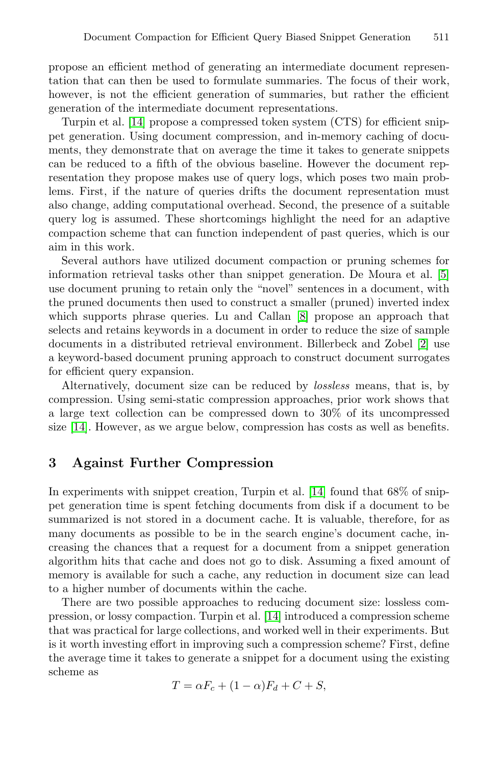propose an efficient method of generating an intermediate document representation that can then be used to formulate summaries. The focus of their work, however, is not the efficient generation of summaries, but rather the efficient generation of the intermediate document representations.

Turpin et al. [\[14\]](#page-11-1) propose a compressed token system (CTS) for efficient snippet generation. Using document compression, and in-memory caching of documents, they demonstrate that on average the time it takes to generate snippets can be reduced to a fifth of the obvious baseline. However the document representation they propose makes use of query logs, which poses two main problems. First, if the nature of queries drifts the document representation must also change, adding computational overhead. Second, the presence of a suitable query log is assumed. These shortcomings highlight the need for an adaptive compaction scheme that can function independent of past queries, which is our aim in this work.

Several authors have utilized document compaction or pruning schemes for information retrieval tasks other than snippet generation. De Moura et al. [\[5\]](#page-11-9) use document pruning to retain only the "novel" sentences in a document, with the pruned documents then used to construct a smaller (pruned) inverted index which supports phrase queries. Lu and Callan [\[8\]](#page-11-10) propose an approach that selects and retains keywords in a document in order to reduce the size of sample documents in a distributed retrieval environment. Billerbeck and Zobel [\[2\]](#page-10-0) use a keyword-based document pruning approach to construct document surrogates for efficient query expansion.

Alternatively, document size can be reduced by *lossless* means, that is, by compression. Using semi-static compression approaches, prior work shows that a large text collection can be compressed down to 30% of its uncompressed size [\[14\]](#page-11-1). However, as we argue below, compression has costs as well as benefits.

### **3 Against Further Compression**

In experiments with snippet creation, Turpin et al. [\[14\]](#page-11-1) found that 68% of snippet generation time is spent fetching documents from disk if a document to be summarized is not stored in a document cache. It is valuable, therefore, for as many documents as possible to be in the search engine's document cache, increasing the chances that a request for a document from a snippet generation algorithm hits that cache and does not go to disk. Assuming a fixed amount of memory is available for such a cache, any reduction in document size can lead to a higher number of documents within the cache.

There are two possible approaches to reducing document size: lossless compression, or lossy compaction. Turpin et al. [\[14\]](#page-11-1) introduced a compression scheme that was practical for large collections, and worked well in their experiments. But is it worth investing effort in improving such a compression scheme? First, define the average time it takes to generate a snippet for a document using the existing scheme as

$$
T = \alpha F_c + (1 - \alpha)F_d + C + S,
$$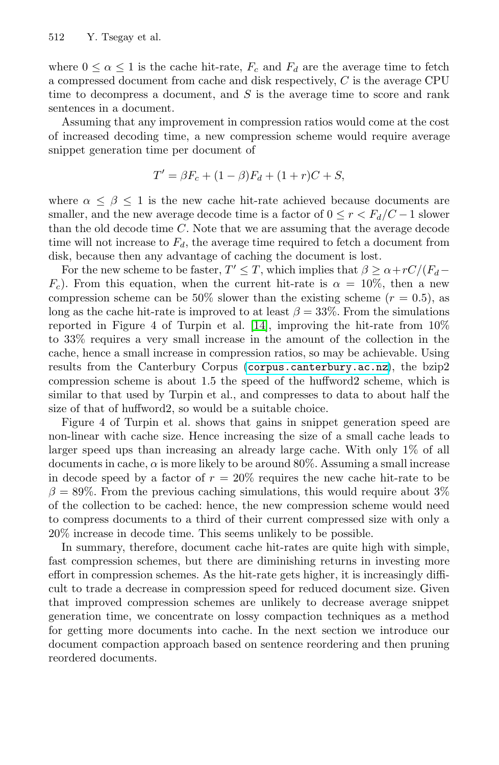where  $0 \le \alpha \le 1$  is the cache hit-rate,  $F_c$  and  $F_d$  are the average time to fetch a compressed document from cache and disk respectively, C is the average CPU time to decompress a document, and  $S$  is the average time to score and rank sentences in a document.

Assuming that any improvement in compression ratios would come at the cost of increased decoding time, a new compression scheme would require average snippet generation time per document of

$$
T' = \beta F_c + (1 - \beta)F_d + (1 + r)C + S,
$$

where  $\alpha \leq \beta \leq 1$  is the new cache hit-rate achieved because documents are smaller, and the new average decode time is a factor of  $0 \leq r < F_d/C - 1$  slower than the old decode time C. Note that we are assuming that the average decode time will not increase to  $F_d$ , the average time required to fetch a document from disk, because then any advantage of caching the document is lost.

For the new scheme to be faster,  $T' \leq T$ , which implies that  $\beta \geq \alpha + rC/(F_d F_c$ ). From this equation, when the current hit-rate is  $\alpha = 10\%$ , then a new compression scheme can be 50% slower than the existing scheme  $(r = 0.5)$ , as long as the cache hit-rate is improved to at least  $\beta = 33\%$ . From the simulations reported in Figure 4 of Turpin et al. [\[14\]](#page-11-1), improving the hit-rate from 10% to 33% requires a very small increase in the amount of the collection in the cache, hence a small increase in compression ratios, so may be achievable. Using results from the Canterbury Corpus (<corpus.canterbury.ac.nz>), the bzip2 compression scheme is about 1.5 the speed of the huffword2 scheme, which is similar to that used by Turpin et al., and compresses to data to about half the size of that of huffword2, so would be a suitable choice.

Figure 4 of Turpin et al. shows that gains in snippet generation speed are non-linear with cache size. Hence increasing the size of a small cache leads to larger speed ups than increasing an already large cache. With only 1% of all documents in cache,  $\alpha$  is more likely to be around 80%. Assuming a small increase in decode speed by a factor of  $r = 20\%$  requires the new cache hit-rate to be  $\beta = 89\%$ . From the previous caching simulations, this would require about 3% of the collection to be cached: hence, the new compression scheme would need to compress documents to a third of their current compressed size with only a 20% increase in decode time. This seems unlikely to be possible.

In summary, therefore, document cache hit-rates are quite high with simple, fast compression schemes, but there are diminishing returns in investing more effort in compression schemes. As the hit-rate gets higher, it is increasingly difficult to trade a decrease in compression speed for reduced document size. Given that improved compression schemes are unlikely to decrease average snippet generation time, we concentrate on lossy compaction techniques as a method for getting more documents into cache. In the next section we introduce our document compaction approach based on sentence reordering and then pruning reordered documents.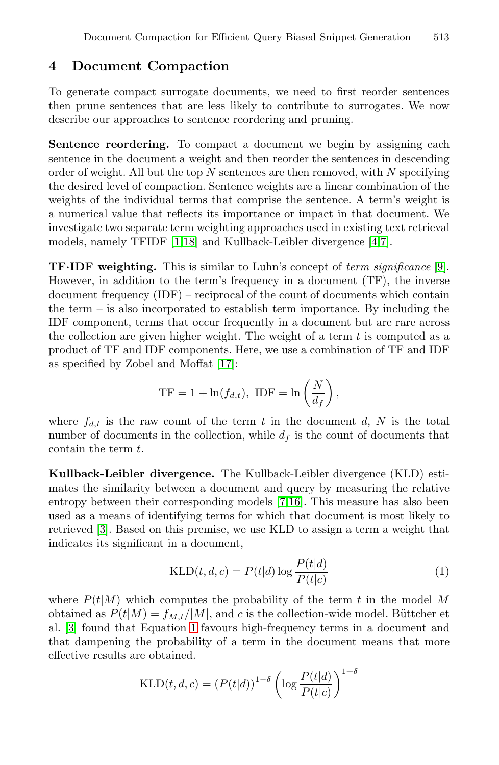#### **4 Document Compaction**

To generate compact surrogate documents, we need to first reorder sentences then prune sentences that are less likely to contribute to surrogates. We now describe our approaches to sentence reordering and pruning.

**Sentence reordering.** To compact a document we begin by assigning each sentence in the document a weight and then reorder the sentences in descending order of weight. All but the top  $N$  sentences are then removed, with  $N$  specifying the desired level of compaction. Sentence weights are a linear combination of the weights of the individual terms that comprise the sentence. A term's weight is a numerical value that reflects its importance or impact in that document. We investigate two separate term weighting approaches used in existing text retrieval models, namely TFIDF [\[1](#page-10-1)[,18\]](#page-11-11) and Kullback-Leibler divergence [\[4](#page-10-2)[,7\]](#page-11-12).

**TF***·***IDF weighting.** This is similar to Luhn's concept of *term significance* [\[9\]](#page-11-3). However, in addition to the term's frequency in a document (TF), the inverse document frequency (IDF) – reciprocal of the count of documents which contain the term – is also incorporated to establish term importance. By including the IDF component, terms that occur frequently in a document but are rare across the collection are given higher weight. The weight of a term  $t$  is computed as a product of TF and IDF components. Here, we use a combination of TF and IDF as specified by Zobel and Moffat [\[17\]](#page-11-13):

$$
TF = 1 + \ln(f_{d,t}), \text{ IDF} = \ln\left(\frac{N}{d_f}\right),
$$

where  $f_{d,t}$  is the raw count of the term t in the document d, N is the total number of documents in the collection, while  $d_f$  is the count of documents that contain the term t.

**Kullback-Leibler divergence.** The Kullback-Leibler divergence (KLD) estimates the similarity between a document and query by measuring the relative entropy between their corresponding models [\[7](#page-11-12)[,16\]](#page-11-14). This measure has also been used as a means of identifying terms for which that document is most likely to retrieved [\[3\]](#page-10-3). Based on this premise, we use KLD to assign a term a weight that indicates its significant in a document,

<span id="page-4-0"></span>
$$
KLD(t, d, c) = P(t|d) \log \frac{P(t|d)}{P(t|c)}
$$
\n(1)

where  $P(t|M)$  which computes the probability of the term t in the model M obtained as  $P(t|M) = f_{M,t}/|M|$ , and c is the collection-wide model. Büttcher et al. [\[3\]](#page-10-3) found that Equation [1](#page-4-0) favours high-frequency terms in a document and that dampening the probability of a term in the document means that more effective results are obtained.

$$
KLD(t, d, c) = (P(t|d))^{1-\delta} \left( \log \frac{P(t|d)}{P(t|c)} \right)^{1+\delta}
$$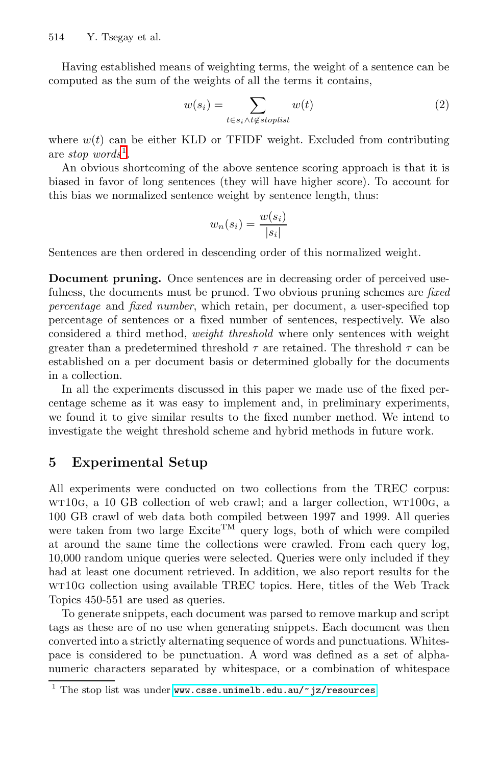Having established means of weighting terms, the weight of a sentence can be computed as the sum of the weights of all the terms it contains,

$$
w(s_i) = \sum_{t \in s_i \land t \notin stoplist} w(t) \tag{2}
$$

where  $w(t)$  can be either KLD or TFIDF weight. Excluded from contributing are *stop words*[1](#page-5-0).

An obvious shortcoming of the above sentence scoring approach is that it is biased in favor of long sentences (they will have higher score). To account for this bias we normalized sentence weight by sentence length, thus:

$$
w_n(s_i) = \frac{w(s_i)}{|s_i|}
$$

Sentences are then ordered in descending order of this normalized weight.

**Document pruning.** Once sentences are in decreasing order of perceived usefulness, the documents must be pruned. Two obvious pruning schemes are *fixed percentage* and *fixed number*, which retain, per document, a user-specified top percentage of sentences or a fixed number of sentences, respectively. We also considered a third method, *weight threshold* where only sentences with weight greater than a predetermined threshold  $\tau$  are retained. The threshold  $\tau$  can be established on a per document basis or determined globally for the documents in a collection.

In all the experiments discussed in this paper we made use of the fixed percentage scheme as it was easy to implement and, in preliminary experiments, we found it to give similar results to the fixed number method. We intend to investigate the weight threshold scheme and hybrid methods in future work.

# <span id="page-5-1"></span>**5 Experimental Setup**

All experiments were conducted on two collections from the TREC corpus: wt10g, a 10 GB collection of web crawl; and a larger collection, wt100g, a 100 GB crawl of web data both compiled between 1997 and 1999. All queries were taken from two large  $\text{Excite}^{\text{TM}}$  query logs, both of which were compiled at around the same time the collections were crawled. From each query log, 10,000 random unique queries were selected. Queries were only included if they had at least one document retrieved. In addition, we also report results for the wt10g collection using available TREC topics. Here, titles of the Web Track Topics 450-551 are used as queries.

To generate snippets, each document was parsed to remove markup and script tags as these are of no use when generating snippets. Each document was then converted into a strictly alternating sequence of words and punctuations. Whitespace is considered to be punctuation. A word was defined as a set of alphanumeric characters separated by whitespace, or a combination of whitespace

<span id="page-5-0"></span> $1$  The stop list was under www.csse.unimelb.edu.au/ $\sim$ jz/resources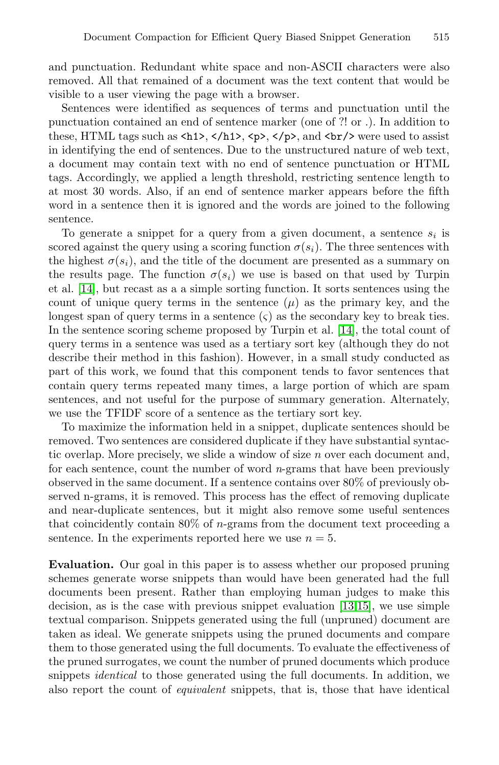and punctuation. Redundant white space and non-ASCII characters were also removed. All that remained of a document was the text content that would be visible to a user viewing the page with a browser.

Sentences were identified as sequences of terms and punctuation until the punctuation contained an end of sentence marker (one of ?! or .). In addition to these, HTML tags such as  $\langle h1 \rangle$ ,  $\langle h1 \rangle$ ,  $\langle p \rangle$ ,  $\langle p \rangle$ , and  $\langle br/$  were used to assist in identifying the end of sentences. Due to the unstructured nature of web text, a document may contain text with no end of sentence punctuation or HTML tags. Accordingly, we applied a length threshold, restricting sentence length to at most 30 words. Also, if an end of sentence marker appears before the fifth word in a sentence then it is ignored and the words are joined to the following sentence.

To generate a snippet for a query from a given document, a sentence  $s_i$  is scored against the query using a scoring function  $\sigma(s_i)$ . The three sentences with the highest  $\sigma(s_i)$ , and the title of the document are presented as a summary on the results page. The function  $\sigma(s_i)$  we use is based on that used by Turpin et al. [\[14\]](#page-11-1), but recast as a a simple sorting function. It sorts sentences using the count of unique query terms in the sentence  $(\mu)$  as the primary key, and the longest span of query terms in a sentence  $(\varsigma)$  as the secondary key to break ties. In the sentence scoring scheme proposed by Turpin et al. [\[14\]](#page-11-1), the total count of query terms in a sentence was used as a tertiary sort key (although they do not describe their method in this fashion). However, in a small study conducted as part of this work, we found that this component tends to favor sentences that contain query terms repeated many times, a large portion of which are spam sentences, and not useful for the purpose of summary generation. Alternately, we use the TFIDF score of a sentence as the tertiary sort key.

To maximize the information held in a snippet, duplicate sentences should be removed. Two sentences are considered duplicate if they have substantial syntactic overlap. More precisely, we slide a window of size  $n$  over each document and, for each sentence, count the number of word *n*-grams that have been previously observed in the same document. If a sentence contains over 80% of previously observed n-grams, it is removed. This process has the effect of removing duplicate and near-duplicate sentences, but it might also remove some useful sentences that coincidently contain 80% of n-grams from the document text proceeding a sentence. In the experiments reported here we use  $n = 5$ .

**Evaluation.** Our goal in this paper is to assess whether our proposed pruning schemes generate worse snippets than would have been generated had the full documents been present. Rather than employing human judges to make this decision, as is the case with previous snippet evaluation [\[13](#page-11-0)[,15\]](#page-11-7), we use simple textual comparison. Snippets generated using the full (unpruned) document are taken as ideal. We generate snippets using the pruned documents and compare them to those generated using the full documents. To evaluate the effectiveness of the pruned surrogates, we count the number of pruned documents which produce snippets *identical* to those generated using the full documents. In addition, we also report the count of *equivalent* snippets, that is, those that have identical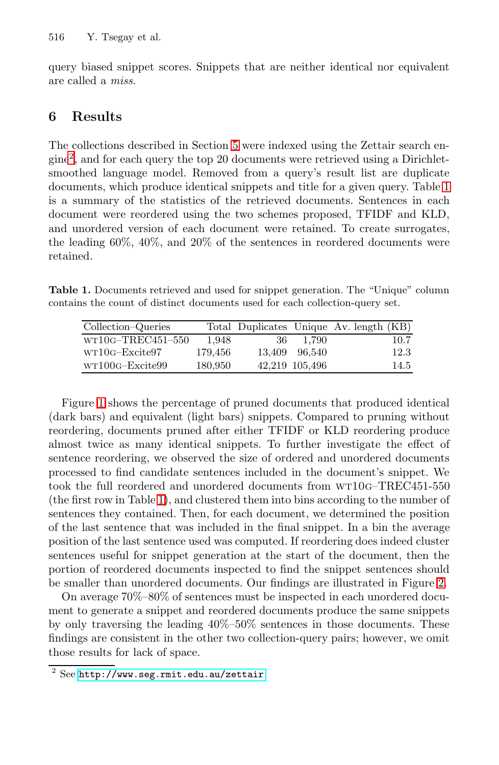query biased snippet scores. Snippets that are neither identical nor equivalent are called a *miss*.

### **6 Results**

The collections described in Section [5](#page-5-1) were indexed using the Zettair search en- $\gamma$  gine<sup>[2](#page-7-0)</sup>, and for each query the top 20 documents were retrieved using a Dirichletsmoothed language model. Removed from a query's result list are duplicate documents, which produce identical snippets and title for a given query. Table [1](#page-7-1) is a summary of the statistics of the retrieved documents. Sentences in each document were reordered using the two schemes proposed, TFIDF and KLD, and unordered version of each document were retained. To create surrogates, the leading 60%, 40%, and 20% of the sentences in reordered documents were retained.

**Table 1.** Documents retrieved and used for snippet generation. The "Unique" column contains the count of distinct documents used for each collection-query set.

<span id="page-7-1"></span>

| Collection–Queries  |         |     |                | Total Duplicates Unique Av. length (KB) |
|---------------------|---------|-----|----------------|-----------------------------------------|
| $WT10G-TREC451-550$ | 1.948   | -36 | 1.790          | 10.7                                    |
| $wr10G-Excite97$    | 179.456 |     | 13.409 96.540  | 12.3                                    |
| $WT100G-Excite99$   | 180,950 |     | 42.219 105.496 | 14.5                                    |
|                     |         |     |                |                                         |

Figure [1](#page-8-0) shows the percentage of pruned documents that produced identical (dark bars) and equivalent (light bars) snippets. Compared to pruning without reordering, documents pruned after either TFIDF or KLD reordering produce almost twice as many identical snippets. To further investigate the effect of sentence reordering, we observed the size of ordered and unordered documents processed to find candidate sentences included in the document's snippet. We took the full reordered and unordered documents from wt10g–TREC451-550 (the first row in Table [1\)](#page-7-1), and clustered them into bins according to the number of sentences they contained. Then, for each document, we determined the position of the last sentence that was included in the final snippet. In a bin the average position of the last sentence used was computed. If reordering does indeed cluster sentences useful for snippet generation at the start of the document, then the portion of reordered documents inspected to find the snippet sentences should be smaller than unordered documents. Our findings are illustrated in Figure [2.](#page-8-1)

On average 70%–80% of sentences must be inspected in each unordered document to generate a snippet and reordered documents produce the same snippets by only traversing the leading 40%–50% sentences in those documents. These findings are consistent in the other two collection-query pairs; however, we omit those results for lack of space.

<span id="page-7-0"></span><sup>2</sup> See <http://www.seg.rmit.edu.au/zettair>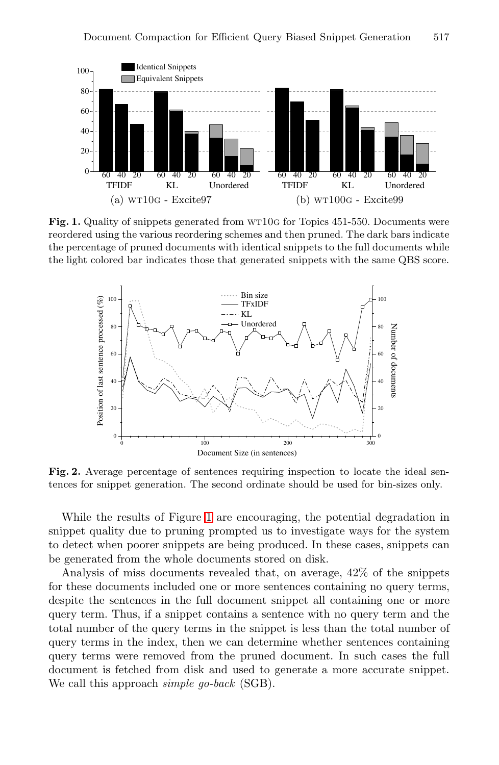

<span id="page-8-0"></span>**Fig. 1.** Quality of snippets generated from wt10g for Topics 451-550. Documents were reordered using the various reordering schemes and then pruned. The dark bars indicate the percentage of pruned documents with identical snippets to the full documents while the light colored bar indicates those that generated snippets with the same QBS score.



<span id="page-8-1"></span>**Fig. 2.** Average percentage of sentences requiring inspection to locate the ideal sentences for snippet generation. The second ordinate should be used for bin-sizes only.

While the results of Figure [1](#page-8-0) are encouraging, the potential degradation in snippet quality due to pruning prompted us to investigate ways for the system to detect when poorer snippets are being produced. In these cases, snippets can be generated from the whole documents stored on disk.

Analysis of miss documents revealed that, on average, 42% of the snippets for these documents included one or more sentences containing no query terms, despite the sentences in the full document snippet all containing one or more query term. Thus, if a snippet contains a sentence with no query term and the total number of the query terms in the snippet is less than the total number of query terms in the index, then we can determine whether sentences containing query terms were removed from the pruned document. In such cases the full document is fetched from disk and used to generate a more accurate snippet. We call this approach *simple go-back* (SGB).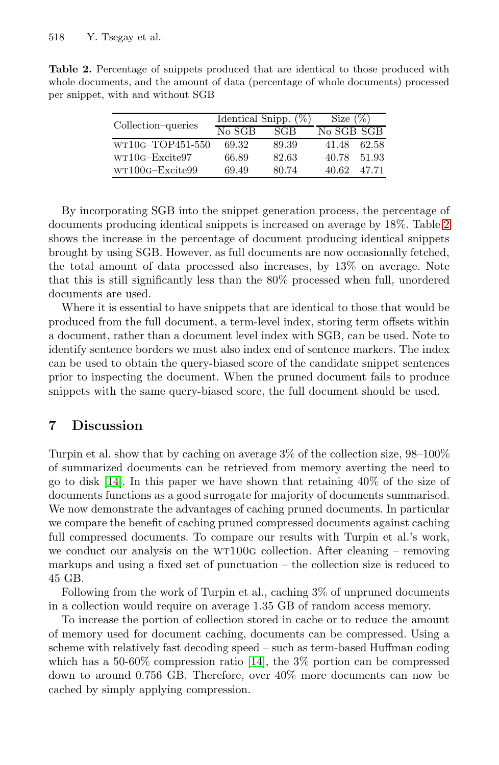<span id="page-9-0"></span>

|                    |        | Identical Snipp. $(\%)$ | Size $(\%)$ |       |
|--------------------|--------|-------------------------|-------------|-------|
| Collection-queries | No SGB | SGB                     | No SGB SGB  |       |
| $WT10G-TOP451-550$ | 69.32  | 89.39                   | 41.48       | 62.58 |
| $wr10G-Excite97$   | 66.89  | 82.63                   | 40.78       | 51.93 |
| WT100G-Excite99    | 69.49  | 80.74                   | 40.62       | 47.71 |

**Table 2.** Percentage of snippets produced that are identical to those produced with whole documents, and the amount of data (percentage of whole documents) processed per snippet, with and without SGB

By incorporating SGB into the snippet generation process, the percentage of documents producing identical snippets is increased on average by 18%. Table [2](#page-9-0) shows the increase in the percentage of document producing identical snippets brought by using SGB. However, as full documents are now occasionally fetched, the total amount of data processed also increases, by 13% on average. Note that this is still significantly less than the 80% processed when full, unordered documents are used.

Where it is essential to have snippets that are identical to those that would be produced from the full document, a term-level index, storing term offsets within a document, rather than a document level index with SGB, can be used. Note to identify sentence borders we must also index end of sentence markers. The index can be used to obtain the query-biased score of the candidate snippet sentences prior to inspecting the document. When the pruned document fails to produce snippets with the same query-biased score, the full document should be used.

# **7 Discussion**

Turpin et al. show that by caching on average 3% of the collection size, 98–100% of summarized documents can be retrieved from memory averting the need to go to disk [\[14\]](#page-11-1). In this paper we have shown that retaining 40% of the size of documents functions as a good surrogate for majority of documents summarised. We now demonstrate the advantages of caching pruned documents. In particular we compare the benefit of caching pruned compressed documents against caching full compressed documents. To compare our results with Turpin et al.'s work, we conduct our analysis on the WT100G collection. After cleaning – removing markups and using a fixed set of punctuation – the collection size is reduced to 45 GB.

Following from the work of Turpin et al., caching 3% of unpruned documents in a collection would require on average 1.35 GB of random access memory.

To increase the portion of collection stored in cache or to reduce the amount of memory used for document caching, documents can be compressed. Using a scheme with relatively fast decoding speed – such as term-based Huffman coding which has a 50-60% compression ratio [\[14\]](#page-11-1), the 3% portion can be compressed down to around 0.756 GB. Therefore, over 40% more documents can now be cached by simply applying compression.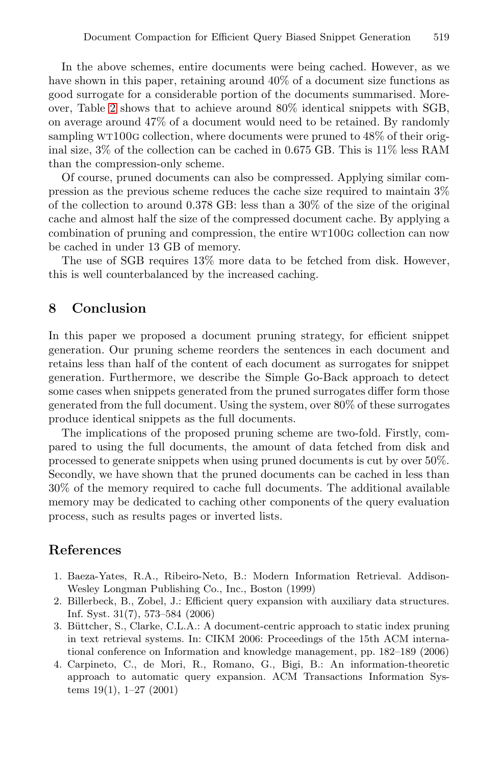In the above schemes, entire documents were being cached. However, as we have shown in this paper, retaining around 40% of a document size functions as good surrogate for a considerable portion of the documents summarised. Moreover, Table [2](#page-9-0) shows that to achieve around 80% identical snippets with SGB, on average around 47% of a document would need to be retained. By randomly sampling WT100G collection, where documents were pruned to 48% of their original size, 3% of the collection can be cached in 0.675 GB. This is 11% less RAM than the compression-only scheme.

Of course, pruned documents can also be compressed. Applying similar compression as the previous scheme reduces the cache size required to maintain 3% of the collection to around 0.378 GB: less than a 30% of the size of the original cache and almost half the size of the compressed document cache. By applying a combination of pruning and compression, the entire  $WT100G$  collection can now be cached in under 13 GB of memory.

The use of SGB requires 13% more data to be fetched from disk. However, this is well counterbalanced by the increased caching.

#### **8 Conclusion**

In this paper we proposed a document pruning strategy, for efficient snippet generation. Our pruning scheme reorders the sentences in each document and retains less than half of the content of each document as surrogates for snippet generation. Furthermore, we describe the Simple Go-Back approach to detect some cases when snippets generated from the pruned surrogates differ form those generated from the full document. Using the system, over 80% of these surrogates produce identical snippets as the full documents.

The implications of the proposed pruning scheme are two-fold. Firstly, compared to using the full documents, the amount of data fetched from disk and processed to generate snippets when using pruned documents is cut by over 50%. Secondly, we have shown that the pruned documents can be cached in less than 30% of the memory required to cache full documents. The additional available memory may be dedicated to caching other components of the query evaluation process, such as results pages or inverted lists.

#### **References**

- <span id="page-10-1"></span>1. Baeza-Yates, R.A., Ribeiro-Neto, B.: Modern Information Retrieval. Addison-Wesley Longman Publishing Co., Inc., Boston (1999)
- <span id="page-10-0"></span>2. Billerbeck, B., Zobel, J.: Efficient query expansion with auxiliary data structures. Inf. Syst. 31(7), 573–584 (2006)
- <span id="page-10-3"></span>3. Büttcher, S., Clarke, C.L.A.: A document-centric approach to static index pruning in text retrieval systems. In: CIKM 2006: Proceedings of the 15th ACM international conference on Information and knowledge management, pp. 182–189 (2006)
- <span id="page-10-2"></span>4. Carpineto, C., de Mori, R., Romano, G., Bigi, B.: An information-theoretic approach to automatic query expansion. ACM Transactions Information Systems 19(1), 1–27 (2001)